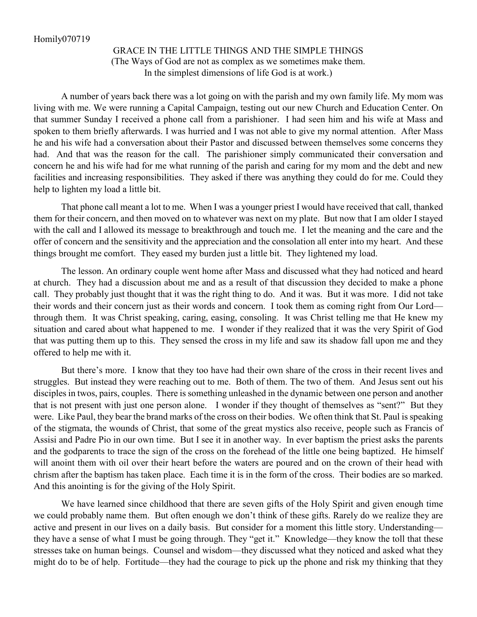## GRACE IN THE LITTLE THINGS AND THE SIMPLE THINGS (The Ways of God are not as complex as we sometimes make them. In the simplest dimensions of life God is at work.)

A number of years back there was a lot going on with the parish and my own family life. My mom was living with me. We were running a Capital Campaign, testing out our new Church and Education Center. On that summer Sunday I received a phone call from a parishioner. I had seen him and his wife at Mass and spoken to them briefly afterwards. I was hurried and I was not able to give my normal attention. After Mass he and his wife had a conversation about their Pastor and discussed between themselves some concerns they had. And that was the reason for the call. The parishioner simply communicated their conversation and concern he and his wife had for me what running of the parish and caring for my mom and the debt and new facilities and increasing responsibilities. They asked if there was anything they could do for me. Could they help to lighten my load a little bit.

That phone call meant a lot to me. When I was a younger priest I would have received that call, thanked them for their concern, and then moved on to whatever was next on my plate. But now that I am older I stayed with the call and I allowed its message to breakthrough and touch me. I let the meaning and the care and the offer of concern and the sensitivity and the appreciation and the consolation all enter into my heart. And these things brought me comfort. They eased my burden just a little bit. They lightened my load.

The lesson. An ordinary couple went home after Mass and discussed what they had noticed and heard at church. They had a discussion about me and as a result of that discussion they decided to make a phone call. They probably just thought that it was the right thing to do. And it was. But it was more. I did not take their words and their concern just as their words and concern. I took them as coming right from Our Lord through them. It was Christ speaking, caring, easing, consoling. It was Christ telling me that He knew my situation and cared about what happened to me. I wonder if they realized that it was the very Spirit of God that was putting them up to this. They sensed the cross in my life and saw its shadow fall upon me and they offered to help me with it.

But there's more. I know that they too have had their own share of the cross in their recent lives and struggles. But instead they were reaching out to me. Both of them. The two of them. And Jesus sent out his disciples in twos, pairs, couples. There is something unleashed in the dynamic between one person and another that is not present with just one person alone. I wonder if they thought of themselves as "sent?" But they were. Like Paul, they bear the brand marks of the cross on their bodies. We often think that St. Paul is speaking of the stigmata, the wounds of Christ, that some of the great mystics also receive, people such as Francis of Assisi and Padre Pio in our own time. But I see it in another way. In ever baptism the priest asks the parents and the godparents to trace the sign of the cross on the forehead of the little one being baptized. He himself will anoint them with oil over their heart before the waters are poured and on the crown of their head with chrism after the baptism has taken place. Each time it is in the form of the cross. Their bodies are so marked. And this anointing is for the giving of the Holy Spirit.

We have learned since childhood that there are seven gifts of the Holy Spirit and given enough time we could probably name them. But often enough we don't think of these gifts. Rarely do we realize they are active and present in our lives on a daily basis. But consider for a moment this little story. Understanding they have a sense of what I must be going through. They "get it." Knowledge—they know the toll that these stresses take on human beings. Counsel and wisdom—they discussed what they noticed and asked what they might do to be of help. Fortitude—they had the courage to pick up the phone and risk my thinking that they